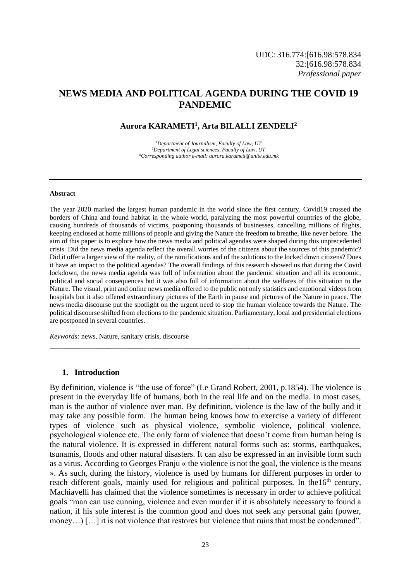# **NEWS MEDIA AND POLITICAL AGENDA DURING THE COVID 19 PANDEMIC**

#### **Aurora KARAMETI<sup>1</sup> , Arta BILALLI ZENDELI<sup>2</sup>**

*<sup>1</sup>Department of Journalism, Faculty of Law, UT <sup>2</sup>Department of Legal sciences, Faculty of Law, UT \*Corresponding author e-mail[: aurora.karameti@unite.edu.mk](mailto:aurora.karameti@unite.edu.mk)*

#### **Abstract**

The year 2020 marked the largest human pandemic in the world since the first century. Covid19 crossed the borders of China and found habitat in the whole world, paralyzing the most powerful countries of the globe, causing hundreds of thousands of victims, postponing thousands of businesses, cancelling millions of flights, keeping enclosed at home millions of people and giving the Nature the freedom to breathe, like never before. The aim of this paper is to explore how the news media and political agendas were shaped during this unprecedented crisis. Did the news media agenda reflect the overall worries of the citizens about the sources of this pandemic? Did it offer a larger view of the reality, of the ramifications and of the solutions to the locked down citizens? Does it have an impact to the political agendas? The overall findings of this research showed us that during the Covid lockdown, the news media agenda was full of information about the pandemic situation and all its economic, political and social consequences but it was also full of information about the welfares of this situation to the Nature. The visual, print and online news media offered to the public not only statistics and emotional videos from hospitals but it also offered extraordinary pictures of the Earth in pause and pictures of the Nature in peace. The news media discourse put the spotlight on the urgent need to stop the human violence towards the Nature. The political discourse shifted from elections to the pandemic situation. Parliamentary, local and presidential elections are postponed in several countries.

*\_\_\_\_\_\_\_\_\_\_\_\_\_\_\_\_\_\_\_\_\_\_\_\_\_\_\_\_\_\_\_\_\_\_\_\_\_\_\_\_\_\_\_\_\_\_\_\_\_\_\_\_\_\_\_\_\_\_\_\_\_\_\_\_\_\_\_\_\_\_\_\_\_\_\_*

*Keywords:* news, Nature, sanitary crisis, discourse

#### **1. Introduction**

By definition, violence is "the use of force" (Le Grand Robert, 2001, p.1854). The violence is present in the everyday life of humans, both in the real life and on the media. In most cases, man is the author of violence over man. By definition, violence is the law of the bully and it may take any possible form. The human being knows how to exercise a variety of different types of violence such as physical violence, symbolic violence, political violence, psychological violence etc. The only form of violence that doesn't come from human being is the natural violence. It is expressed in different natural forms such as: storms, earthquakes, tsunamis, floods and other natural disasters. It can also be expressed in an invisible form such as a virus. According to Georges Franju « the violence is not the goal, the violence is the means ». As such, during the history, violence is used by humans for different purposes in order to reach different goals, mainly used for religious and political purposes. In the16<sup>th</sup> century, Machiavelli has claimed that the violence sometimes is necessary in order to achieve political goals "man can use cunning, violence and even murder if it is absolutely necessary to found a nation, if his sole interest is the common good and does not seek any personal gain (power, money…) […] it is not violence that restores but violence that ruins that must be condemned".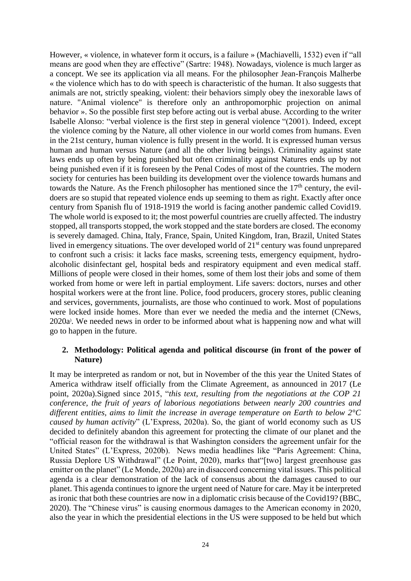However, « violence, in whatever form it occurs, is a failure » (Machiavelli, 1532) even if "all means are good when they are effective" (Sartre: 1948). Nowadays, violence is much larger as a concept. We see its application via all means. For the philosopher Jean-François Malherbe « the violence which has to do with speech is characteristic of the human. It also suggests that animals are not, strictly speaking, violent: their behaviors simply obey the inexorable laws of nature. "Animal violence" is therefore only an anthropomorphic projection on animal behavior ». So the possible first step before acting out is verbal abuse. According to the writer Isabelle Alonso: "verbal violence is the first step in general violence "(2001). Indeed, except the violence coming by the Nature, all other violence in our world comes from humans. Even in the 21st century, human violence is fully present in the world. It is expressed human versus human and human versus Nature (and all the other living beings). Criminality against state laws ends up often by being punished but often criminality against Natures ends up by not being punished even if it is foreseen by the Penal Codes of most of the countries. The modern society for centuries has been building its development over the violence towards humans and towards the Nature. As the French philosopher has mentioned since the  $17<sup>th</sup>$  century, the evildoers are so stupid that repeated violence ends up seeming to them as right. Exactly after once century from Spanish flu of 1918-1919 the world is facing another pandemic called Covid19. The whole world is exposed to it; the most powerful countries are cruelly affected. The industry stopped, all transports stopped, the work stopped and the state borders are closed. The economy is severely damaged. China, Italy, France, Spain, United Kingdom, Iran, Brazil, United States lived in emergency situations. The over developed world of  $21<sup>st</sup>$  century was found unprepared to confront such a crisis: it lacks face masks, screening tests, emergency equipment, hydroalcoholic disinfectant gel, hospital beds and respiratory equipment and even medical staff. Millions of people were closed in their homes, some of them lost their jobs and some of them worked from home or were left in partial employment. Life savers: doctors, nurses and other hospital workers were at the front line. Police, food producers, grocery stores, public cleaning and services, governments, journalists, are those who continued to work. Most of populations were locked inside homes. More than ever we needed the media and the internet (CNews, 2020a) . We needed news in order to be informed about what is happening now and what will go to happen in the future.

### **2. Methodology: Political agenda and political discourse (in front of the power of Nature)**

It may be interpreted as random or not, but in November of the this year the United States of America withdraw itself officially from the Climate Agreement, as announced in 2017 (Le point, 2020a).Signed since 2015, "*this text, resulting from the negotiations at the COP 21 conference, the fruit of years of laborious negotiations between nearly 200 countries and different entities, aims to limit the increase in average temperature on Earth to below 2°C caused by human activity*" (L'Express, 2020a). So, the giant of world economy such as US decided to definitely abandon this agreement for protecting the climate of our planet and the "official reason for the withdrawal is that Washington considers the agreement unfair for the United States" (L'Express, 2020b). News media headlines like "Paris Agreement: China, Russia Deplore US Withdrawal" (Le Point, 2020), marks that"[two] largest greenhouse gas emitter on the planet" (Le Monde, 2020a) are in disaccord concerning vital issues. This political agenda is a clear demonstration of the lack of consensus about the damages caused to our planet. This agenda continues to ignore the urgent need of Nature for care. May it be interpreted as ironic that both these countries are now in a diplomatic crisis because of the Covid19? (BBC, 2020). The "Chinese virus" is causing enormous damages to the American economy in 2020, also the year in which the presidential elections in the US were supposed to be held but which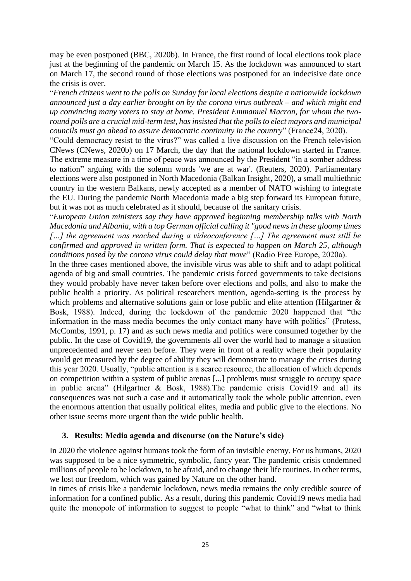may be even postponed (BBC, 2020b). In France, the first round of local elections took place just at the beginning of the pandemic on March 15. As the lockdown was announced to start on March 17, the second round of those elections was postponed for an indecisive date once the crisis is over.

"*French citizens went to the polls on Sunday for local elections despite a nationwide lockdown announced just a day earlier brought on by the corona virus outbreak – and which might end up convincing many voters to stay at home. President Emmanuel Macron, for whom the tworound polls are a crucial mid-term test, has insisted that the polls to elect mayors and municipal councils must go ahead to assure democratic continuity in the country*" (France24, 2020).

"Could democracy resist to the virus?" was called a live discussion on the French television CNews (CNews, 2020b) on 17 March, the day that the national lockdown started in France. The extreme measure in a time of peace was announced by the President "in a somber address to nation" arguing with the solemn words 'we are at war'. (Reuters, 2020). Parliamentary elections were also postponed in North Macedonia (Balkan Insight, 2020), a small multiethnic country in the western Balkans, newly accepted as a member of NATO wishing to integrate the EU. During the pandemic North Macedonia made a big step forward its European future, but it was not as much celebrated as it should, because of the sanitary crisis.

"*European Union ministers say they have approved beginning membership talks with North Macedonia and Albania, with a top German official calling it "good news in these gloomy times […] the agreement was reached during a videoconference […] The agreement must still be confirmed and approved in written form. That is expected to happen on March 25, although conditions posed by the corona virus could delay that move*" (Radio Free Europe, 2020a).

In the three cases mentioned above, the invisible virus was able to shift and to adapt political agenda of big and small countries. The pandemic crisis forced governments to take decisions they would probably have never taken before over elections and polls, and also to make the public health a priority. As political researchers mention, agenda-setting is the process by which problems and alternative solutions gain or lose public and elite attention (Hilgartner & Bosk, 1988). Indeed, during the lockdown of the pandemic 2020 happened that "the information in the mass media becomes the only contact many have with politics" (Protess, McCombs, 1991, p. 17) and as such news media and politics were consumed together by the public. In the case of Covid19, the governments all over the world had to manage a situation unprecedented and never seen before. They were in front of a reality where their popularity would get measured by the degree of ability they will demonstrate to manage the crises during this year 2020. Usually, "public attention is a scarce resource, the allocation of which depends on competition within a system of public arenas [...] problems must struggle to occupy space in public arena" (Hilgartner & Bosk, 1988).The pandemic crisis Covid19 and all its consequences was not such a case and it automatically took the whole public attention, even the enormous attention that usually political elites, media and public give to the elections. No other issue seems more urgent than the wide public health.

### **3. Results: Media agenda and discourse (on the Nature's side)**

In 2020 the violence against humans took the form of an invisible enemy. For us humans, 2020 was supposed to be a nice symmetric, symbolic, fancy year. The pandemic crisis condemned millions of people to be lockdown, to be afraid, and to change their life routines. In other terms, we lost our freedom, which was gained by Nature on the other hand.

In times of crisis like a pandemic lockdown, news media remains the only credible source of information for a confined public. As a result, during this pandemic Covid19 news media had quite the monopole of information to suggest to people "what to think" and "what to think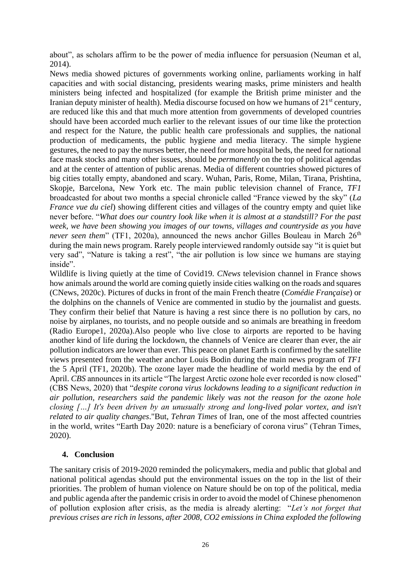about", as scholars affirm to be the power of media influence for persuasion (Neuman et al, 2014).

News media showed pictures of governments working online, parliaments working in half capacities and with social distancing, presidents wearing masks, prime ministers and health ministers being infected and hospitalized (for example the British prime minister and the Iranian deputy minister of health). Media discourse focused on how we humans of  $21<sup>st</sup>$  century, are reduced like this and that much more attention from governments of developed countries should have been accorded much earlier to the relevant issues of our time like the protection and respect for the Nature, the public health care professionals and supplies, the national production of medicaments, the public hygiene and media literacy. The simple hygiene gestures, the need to pay the nurses better, the need for more hospital beds, the need for national face mask stocks and many other issues, should be *permanently* on the top of political agendas and at the center of attention of public arenas. Media of different countries showed pictures of big cities totally empty, abandoned and scary. Wuhan, Paris, Rome, Milan, Tirana, Prishtina, Skopje, Barcelona, New York etc. The main public television channel of France, *TF1* broadcasted for about two months a special chronicle called "France viewed by the sky" (*La France vue du ciel*) showing different cities and villages of the country empty and quiet like never before. "*What does our country look like when it is almost at a standstill? For the past week, we have been showing you images of our towns, villages and countryside as you have never seen them*" (TF1, 2020a), announced the news anchor Gilles Bouleau in March 26<sup>th</sup> during the main news program. Rarely people interviewed randomly outside say "it is quiet but very sad", "Nature is taking a rest", "the air pollution is low since we humans are staying inside".

Wildlife is living quietly at the time of Covid19. *CNews* television channel in France shows how animals around the world are coming quietly inside cities walking on the roads and squares (CNews, 2020c). Pictures of ducks in front of the main French theatre (*Comédie Française*) or the dolphins on the channels of Venice are commented in studio by the journalist and guests. They confirm their belief that Nature is having a rest since there is no pollution by cars, no noise by airplanes, no tourists, and no people outside and so animals are breathing in freedom (Radio Europe1, 2020a).Also people who live close to airports are reported to be having another kind of life during the lockdown, the channels of Venice are clearer than ever, the air pollution indicators are lower than ever. This peace on planet Earth is confirmed by the satellite views presented from the weather anchor Louis Bodin during the main news program of *TF1* the 5 April (TF1, 2020b). The ozone layer made the headline of world media by the end of April. *CBS* announces in its article "The largest Arctic ozone hole ever recorded is now closed" (CBS News, 2020) that "*despite corona virus lockdowns leading to a significant reduction in air pollution, researchers said the pandemic likely was not the reason for the ozone hole closing […] It's been driven by an unusually strong and long-lived polar vortex, and isn't related to air quality changes*."But, *Tehran Times* of Iran, one of the most affected countries in the world, writes "Earth Day 2020: nature is a beneficiary of corona virus" (Tehran Times, 2020).

## **4. Conclusion**

The sanitary crisis of 2019-2020 reminded the policymakers, media and public that global and national political agendas should put the environmental issues on the top in the list of their priorities. The problem of human violence on Nature should be on top of the political, media and public agenda after the pandemic crisis in order to avoid the model of Chinese phenomenon of pollution explosion after crisis, as the media is already alerting: "*Let's not forget that previous crises are rich in lessons, after 2008, CO2 emissions in China exploded the following*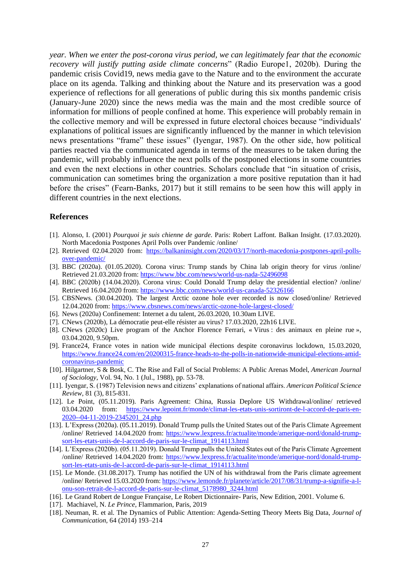*year. When we enter the post-corona virus period, we can legitimately fear that the economic recovery will justify putting aside climate concerns*" (Radio Europe1, 2020b). During the pandemic crisis Covid19, news media gave to the Nature and to the environment the accurate place on its agenda. Talking and thinking about the Nature and its preservation was a good experience of reflections for all generations of public during this six months pandemic crisis (January-June 2020) since the news media was the main and the most credible source of information for millions of people confined at home. This experience will probably remain in the collective memory and will be expressed in future electoral choices because "individuals' explanations of political issues are significantly influenced by the manner in which television news presentations "frame" these issues" (Iyengar, 1987). On the other side, how political parties reacted via the communicated agenda in terms of the measures to be taken during the pandemic, will probably influence the next polls of the postponed elections in some countries and even the next elections in other countries. Scholars conclude that "in situation of crisis, communication can sometimes bring the organization a more positive reputation than it had before the crises" (Fearn-Banks, 2017) but it still remains to be seen how this will apply in different countries in the next elections.

#### **References**

- [1]. Alonso, I. (2001) *Pourquoi je suis chienne de garde*. Paris: Robert Laffont. Balkan Insight. (17.03.2020). North Macedonia Postpones April Polls over Pandemic /online/
- [2]. Retrieved 02.04.2020 from: [https://balkaninsight.com/2020/03/17/north-macedonia-postpones-april-polls](https://balkaninsight.com/2020/03/17/north-macedonia-postpones-april-polls-over-pandemic/)[over-pandemic/](https://balkaninsight.com/2020/03/17/north-macedonia-postpones-april-polls-over-pandemic/)
- [3]. BBC (2020a). (01.05.2020). Corona virus: Trump stands by China lab origin theory for virus /online/ Retrieved 21.03.2020 from[: https://www.bbc.com/news/world-us-nada-52496098](https://www.bbc.com/news/world-us-nada-52496098)
- [4]. BBC (2020b) (14.04.2020). Corona virus: Could Donald Trump delay the presidential election? /online/ Retrieved 16.04.2020 from[: https://www.bbc.com/news/world-us-canada-52326166](https://www.bbc.com/news/world-us-canada-52326166)
- [5]. CBSNews. (30.04.2020). The largest Arctic ozone hole ever recorded is now closed/online/ Retrieved 12.04.2020 from:<https://www.cbsnews.com/news/arctic-ozone-hole-largest-closed/>
- [6]. News (2020a) Confinement: Internet a du talent, 26.03.2020, 10.30am LIVE.
- [7]. CNews (2020b), La démocratie peut-elle résister au virus? 17.03.2020, 22h16 LIVE.
- [8]. CNews (2020c) Live program of the Anchor Florence Ferrari, « Virus : des animaux en pleine rue », 03.04.2020, 9.50pm.
- [9]. France24, France votes in nation wide municipal élections despite coronavirus lockdown, 15.03.2020, [https://www.france24.com/en/20200315-france-heads-to-the-polls-in-nationwide-municipal-elections-amid](https://www.france24.com/en/20200315-france-heads-to-the-polls-in-nationwide-municipal-elections-amid-coronavirus-pandemic)[coronavirus-pandemic](https://www.france24.com/en/20200315-france-heads-to-the-polls-in-nationwide-municipal-elections-amid-coronavirus-pandemic)
- [10]. Hilgartner, S & Bosk, C. The Rise and Fall of Social Problems: A Public Arenas Model, *American Journal of Sociology*, Vol. 94, No. 1 (Jul., 1988), pp. 53-78.
- [11]. Iyengar, S. (1987) Television news and citizens' explanations of national affairs. *American Political Science Review*, 81 (3), 815-831.
- [12]. Le Point, (05.11.2019). Paris Agreement: China, Russia Deplore US Withdrawal/online/ retrieved 03.04.2020 from: [https://www.lepoint.fr/monde/climat-les-etats-unis-sortiront-de-l-accord-de-paris-en-](https://www.lepoint.fr/monde/climat-les-etats-unis-sortiront-de-l-accord-de-paris-en-2020--04-11-2019-2345201_24.php)[2020--04-11-2019-2345201\\_24.php](https://www.lepoint.fr/monde/climat-les-etats-unis-sortiront-de-l-accord-de-paris-en-2020--04-11-2019-2345201_24.php)
- [13]. L'Express (2020a). (05.11.2019). Donald Trump pulls the United States out of the Paris Climate Agreement /online/ Retrieved 14.04.2020 from: [https://www.lexpress.fr/actualite/monde/amerique-nord/donald-trump](https://www.lexpress.fr/actualite/monde/amerique-nord/donald-trump-sort-les-etats-unis-de-l-accord-de-paris-sur-le-climat_1914113.html)[sort-les-etats-unis-de-l-accord-de-paris-sur-le-climat\\_1914113.html](https://www.lexpress.fr/actualite/monde/amerique-nord/donald-trump-sort-les-etats-unis-de-l-accord-de-paris-sur-le-climat_1914113.html)
- [14]. L'Express (2020b). (05.11.2019). Donald Trump pulls the United States out of the Paris Climate Agreement /online/ Retrieved 14.04.2020 from: [https://www.lexpress.fr/actualite/monde/amerique-nord/donald-trump](https://www.lexpress.fr/actualite/monde/amerique-nord/donald-trump-sort-les-etats-unis-de-l-accord-de-paris-sur-le-climat_1914113.html)[sort-les-etats-unis-de-l-accord-de-paris-sur-le-climat\\_1914113.html](https://www.lexpress.fr/actualite/monde/amerique-nord/donald-trump-sort-les-etats-unis-de-l-accord-de-paris-sur-le-climat_1914113.html)
- [15]. Le Monde. (31.08.2017). Trump has notified the UN of his withdrawal from the Paris climate agreement /online/ Retrieved 15.03.2020 from[: https://www.lemonde.fr/planete/article/2017/08/31/trump-a-signifie-a-l](https://www.lemonde.fr/planete/article/2017/08/31/trump-a-signifie-a-l-onu-son-retrait-de-l-accord-de-paris-sur-le-climat_5178980_3244.html)[onu-son-retrait-de-l-accord-de-paris-sur-le-climat\\_5178980\\_3244.html](https://www.lemonde.fr/planete/article/2017/08/31/trump-a-signifie-a-l-onu-son-retrait-de-l-accord-de-paris-sur-le-climat_5178980_3244.html)
- [16]. Le Grand Robert de Longue Française, Le Robert Dictionnaire- Paris, New Edition, 2001. Volume 6.
- [17]. Machiavel, N. *Le Prince*, Flammarion, Paris, 2019
- [18]. Neuman, R. et al. The Dynamics of Public Attention: Agenda-Setting Theory Meets Big Data, *Journal of Communication,* 64 (2014) 193–214